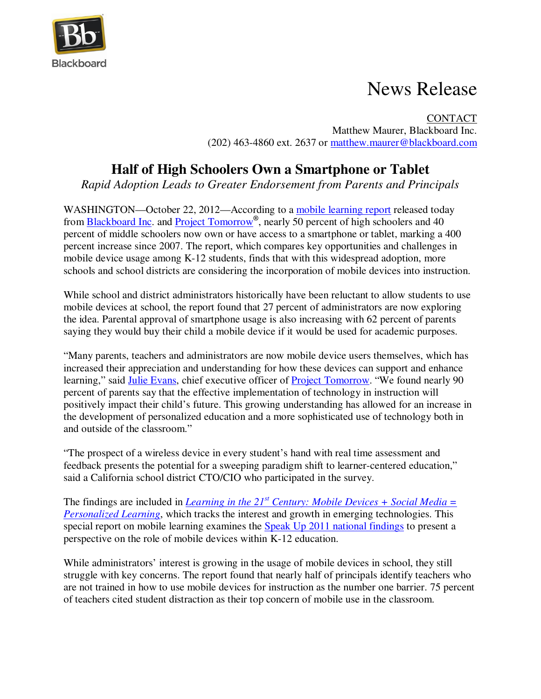

## News Release

CONTACT Matthew Maurer, Blackboard Inc. (202) 463-4860 ext. 2637 or matthew.maurer@blackboard.com

## **Half of High Schoolers Own a Smartphone or Tablet**

*Rapid Adoption Leads to Greater Endorsement from Parents and Principals* 

WASHINGTON—October 22, 2012—According to a mobile learning report released today from Blackboard Inc. and Project Tomorrow**®** , nearly 50 percent of high schoolers and 40 percent of middle schoolers now own or have access to a smartphone or tablet, marking a 400 percent increase since 2007. The report, which compares key opportunities and challenges in mobile device usage among K-12 students, finds that with this widespread adoption, more schools and school districts are considering the incorporation of mobile devices into instruction.

While school and district administrators historically have been reluctant to allow students to use mobile devices at school, the report found that 27 percent of administrators are now exploring the idea. Parental approval of smartphone usage is also increasing with 62 percent of parents saying they would buy their child a mobile device if it would be used for academic purposes.

"Many parents, teachers and administrators are now mobile device users themselves, which has increased their appreciation and understanding for how these devices can support and enhance learning," said Julie Evans, chief executive officer of Project Tomorrow. "We found nearly 90 percent of parents say that the effective implementation of technology in instruction will positively impact their child's future. This growing understanding has allowed for an increase in the development of personalized education and a more sophisticated use of technology both in and outside of the classroom."

"The prospect of a wireless device in every student's hand with real time assessment and feedback presents the potential for a sweeping paradigm shift to learner-centered education," said a California school district CTO/CIO who participated in the survey.

The findings are included in *Learning in the 21st Century: Mobile Devices + Social Media = Personalized Learning*, which tracks the interest and growth in emerging technologies. This special report on mobile learning examines the Speak Up 2011 national findings to present a perspective on the role of mobile devices within K-12 education.

While administrators' interest is growing in the usage of mobile devices in school, they still struggle with key concerns. The report found that nearly half of principals identify teachers who are not trained in how to use mobile devices for instruction as the number one barrier. 75 percent of teachers cited student distraction as their top concern of mobile use in the classroom.